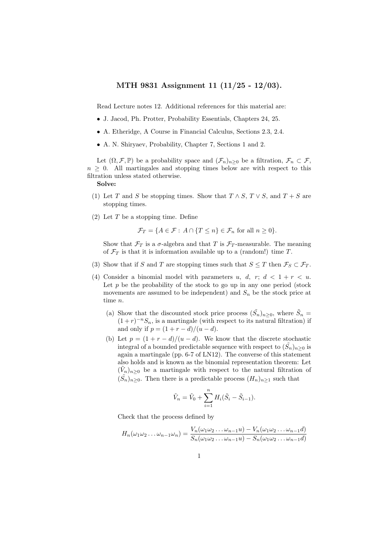## MTH 9831 Assignment 11 (11/25 - 12/03).

Read Lecture notes 12. Additional references for this material are:

- J. Jacod, Ph. Protter, Probability Essentials, Chapters 24, 25.
- A. Etheridge, A Course in Financial Calculus, Sections 2.3, 2.4.
- A. N. Shiryaev, Probability, Chapter 7, Sections 1 and 2.

Let  $(\Omega, \mathcal{F}, \mathbb{P})$  be a probability space and  $(\mathcal{F}_n)_{n\geq 0}$  be a filtration,  $\mathcal{F}_n \subset \mathcal{F}$ ,  $n > 0$ . All martingales and stopping times below are with respect to this filtration unless stated otherwise.

## Solve:

- (1) Let T and S be stopping times. Show that  $T \wedge S$ ,  $T \vee S$ , and  $T + S$  are stopping times.
- (2) Let  $T$  be a stopping time. Define

$$
\mathcal{F}_T = \{ A \in \mathcal{F} : A \cap \{ T \le n \} \in \mathcal{F}_n \text{ for all } n \ge 0 \}.
$$

Show that  $\mathcal{F}_T$  is a  $\sigma$ -algebra and that T is  $\mathcal{F}_T$ -measurable. The meaning of  $\mathcal{F}_T$  is that it is information available up to a (random!) time T.

- (3) Show that if S and T are stopping times such that  $S \leq T$  then  $\mathcal{F}_S \subset \mathcal{F}_T$ .
- (4) Consider a binomial model with parameters u, d, r;  $d < 1 + r < u$ . Let  $p$  be the probability of the stock to go up in any one period (stock movements are assumed to be independent) and  $S_n$  be the stock price at time n.
	- (a) Show that the discounted stock price process  $(\tilde{S}_n)_{n\geq 0}$ , where  $\tilde{S}_n$  =  $(1+r)^{-n}S_n$ , is a martingale (with respect to its natural filtration) if and only if  $p = (1 + r - d)/(u - d)$ .
	- (b) Let  $p = (1 + r d)/(u d)$ . We know that the discrete stochastic integral of a bounded predictable sequence with respect to  $(\tilde{S}_n)_{n\geq 0}$  is again a martingale (pp. 6-7 of LN12). The converse of this statement also holds and is known as the binomial representation theorem: Let  $(\tilde{V}_n)_{n\geq 0}$  be a martingale with respect to the natural filtration of  $(\tilde{S}_n)_{n\geq 0}$ . Then there is a predictable process  $(H_n)_{n\geq 1}$  such that

$$
\tilde{V}_n = \tilde{V}_0 + \sum_{i=1}^n H_i(\tilde{S}_i - \tilde{S}_{i-1}).
$$

Check that the process defined by

$$
H_n(\omega_1\omega_2 \dots \omega_{n-1}\omega_n) = \frac{V_n(\omega_1\omega_2 \dots \omega_{n-1}u) - V_n(\omega_1\omega_2 \dots \omega_{n-1}d)}{S_n(\omega_1\omega_2 \dots \omega_{n-1}u) - S_n(\omega_1\omega_2 \dots \omega_{n-1}d)}
$$